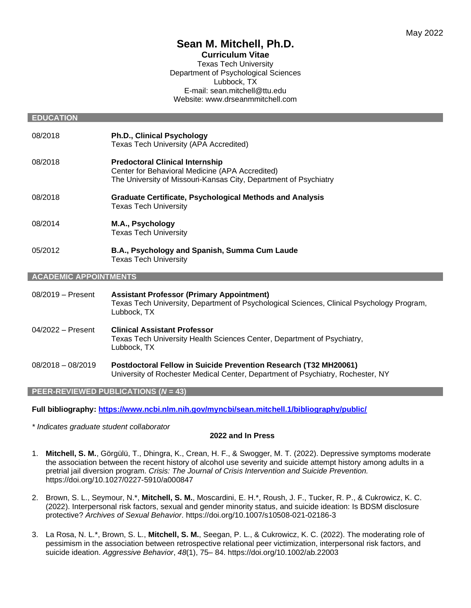# **Sean M. Mitchell, Ph.D.**

**Curriculum Vitae** Texas Tech University Department of Psychological Sciences Lubbock, TX E-mail: sean.mitchell@ttu.edu Website: www.drseanmmitchell.com

#### **EDUCATION**

- 08/2018 **Ph.D., Clinical Psychology** Texas Tech University (APA Accredited) 08/2018 **Predoctoral Clinical Internship** Center for Behavioral Medicine (APA Accredited) The University of Missouri-Kansas City, Department of Psychiatry 08/2018 **Graduate Certificate, Psychological Methods and Analysis** Texas Tech University
- 08/2014 **M.A., Psychology** Texas Tech University
- 05/2012 **B.A., Psychology and Spanish, Summa Cum Laude** Texas Tech University

#### **ACADEMIC APPOINTMENTS**

08/2019 – Present **Assistant Professor (Primary Appointment)** Texas Tech University, Department of Psychological Sciences, Clinical Psychology Program, Lubbock, TX 04/2022 – Present **Clinical Assistant Professor** Texas Tech University Health Sciences Center, Department of Psychiatry, Lubbock, TX 08/2018 – 08/2019 **Postdoctoral Fellow in Suicide Prevention Research (T32 MH20061)** University of Rochester Medical Center, Department of Psychiatry, Rochester, NY

#### **PEER-REVIEWED PUBLICATIONS (***N* **= 43)**

**Full bibliography:<https://www.ncbi.nlm.nih.gov/myncbi/sean.mitchell.1/bibliography/public/>**

*\* Indicates graduate student collaborator*

#### **2022 and In Press**

- 1. **Mitchell, S. M.**, Görgülü, T., Dhingra, K., Crean, H. F., & Swogger, M. T. (2022). Depressive symptoms moderate the association between the recent history of alcohol use severity and suicide attempt history among adults in a pretrial jail diversion program. *Crisis: The Journal of Crisis Intervention and Suicide Prevention.* https://doi.org/10.1027/0227-5910/a000847
- 2. Brown, S. L., Seymour, N.\*, **Mitchell, S. M.**, Moscardini, E. H.\*, Roush, J. F., Tucker, R. P., & Cukrowicz, K. C. (2022). Interpersonal risk factors, sexual and gender minority status, and suicide ideation: Is BDSM disclosure protective? *Archives of Sexual Behavior*. https://doi.org/10.1007/s10508-021-02186-3
- 3. La Rosa, N. L.\*, Brown, S. L., **Mitchell, S. M.**, Seegan, P. L., & Cukrowicz, K. C. (2022). The moderating role of pessimism in the association between retrospective relational peer victimization, interpersonal risk factors, and suicide ideation. *Aggressive Behavior*, *48*(1), 75– 84. https://doi.org/10.1002/ab.22003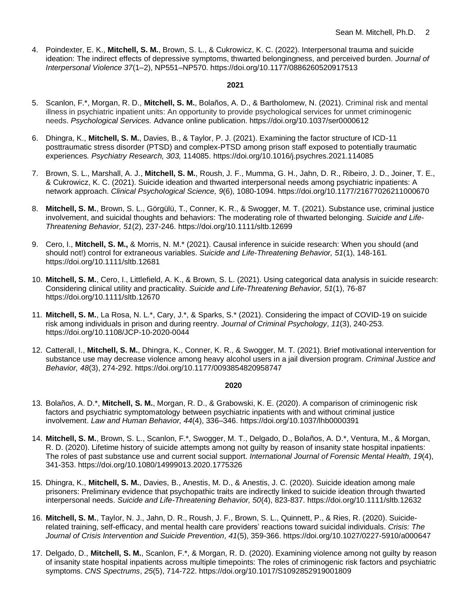4. Poindexter, E. K., **Mitchell, S. M.**, Brown, S. L., & Cukrowicz, K. C. (2022). Interpersonal trauma and suicide ideation: The indirect effects of depressive symptoms, thwarted belongingness, and perceived burden. *Journal of Interpersonal Violence 37*(1–2), NP551–NP570. https://doi.org/10.1177/0886260520917513

#### **2021**

- 5. Scanlon, F.\*, Morgan, R. D., **Mitchell, S. M.**, Bolaños, A. D., & Bartholomew, N. (2021). Criminal risk and mental illness in psychiatric inpatient units: An opportunity to provide psychological services for unmet criminogenic needs. *Psychological Services.* Advance online publication. https://doi.org/10.1037/ser0000612
- 6. Dhingra, K., **Mitchell, S. M.**, Davies, B., & Taylor, P. J. (2021). Examining the factor structure of ICD-11 posttraumatic stress disorder (PTSD) and complex-PTSD among prison staff exposed to potentially traumatic experiences*. Psychiatry Research, 303,* 114085. https://doi.org/10.1016/j.psychres.2021.114085
- 7. Brown, S. L., Marshall, A. J., **Mitchell, S. M.**, Roush, J. F., Mumma, G. H., Jahn, D. R., Ribeiro, J. D., Joiner, T. E., & Cukrowicz, K. C. (2021). Suicide ideation and thwarted interpersonal needs among psychiatric inpatients: A network approach. *Clinical Psychological Science, 9*(6), 1080-1094. https://doi.org/10.1177/21677026211000670
- 8. **Mitchell, S. M.**, Brown, S. L., Görgülü, T., Conner, K. R., & Swogger, M. T. (2021). Substance use, criminal justice involvement, and suicidal thoughts and behaviors: The moderating role of thwarted belonging. *Suicide and Life-Threatening Behavior, 51*(2), 237-246. https://doi.org/10.1111/sltb.12699
- 9. Cero, I., **Mitchell, S. M.,** & Morris, N. M.\* (2021). Causal inference in suicide research: When you should (and should not!) control for extraneous variables. *Suicide and Life-Threatening Behavior, 51*(1), 148-161*.* https://doi.org/10.1111/sltb.12681
- 10. **Mitchell, S. M.**, Cero, I., Littlefield, A. K., & Brown, S. L. (2021). Using categorical data analysis in suicide research: Considering clinical utility and practicality. *Suicide and Life-Threatening Behavior, 51*(1), 76-87 https://doi.org/10.1111/sltb.12670
- 11. **Mitchell, S. M.**, La Rosa, N. L.\*, Cary, J.\*, & Sparks, S.\* (2021). Considering the impact of COVID-19 on suicide risk among individuals in prison and during reentry. *Journal of Criminal Psychology*, *11*(3), 240-253. https://doi.org/10.1108/JCP-10-2020-0044
- 12. Catterall, I., **Mitchell, S. M.**, Dhingra, K., Conner, K. R., & Swogger, M. T. (2021). Brief motivational intervention for substance use may decrease violence among heavy alcohol users in a jail diversion program. *Criminal Justice and Behavior, 48*(3), 274-292. https://doi.org/10.1177/0093854820958747

- 13. Bolaños, A. D.\*, **Mitchell, S. M.**, Morgan, R. D., & Grabowski, K. E. (2020). A comparison of criminogenic risk factors and psychiatric symptomatology between psychiatric inpatients with and without criminal justice involvement. *Law and Human Behavior, 44*(4), 336–346. https://doi.org/10.1037/lhb0000391
- 14. **Mitchell, S. M.**, Brown, S. L., Scanlon, F.\*, Swogger, M. T., Delgado, D., Bolaños, A. D.\*, Ventura, M., & Morgan, R. D. (2020). Lifetime history of suicide attempts among not guilty by reason of insanity state hospital inpatients: The roles of past substance use and current social support. *International Journal of Forensic Mental Health, 19*(4), 341-353. https://doi.org/10.1080/14999013.2020.1775326
- 15. Dhingra, K., **Mitchell, S. M.**, Davies, B., Anestis, M. D., & Anestis, J. C. (2020). Suicide ideation among male prisoners: Preliminary evidence that psychopathic traits are indirectly linked to suicide ideation through thwarted interpersonal needs. *Suicide and Life-Threatening Behavior, 50*(4), 823-837. https://doi.org/10.1111/sltb.12632
- 16. **Mitchell, S. M.**, Taylor, N. J., Jahn, D. R., Roush, J. F., Brown, S. L., Quinnett, P., & Ries, R. (2020). Suiciderelated training, self-efficacy, and mental health care providers' reactions toward suicidal individuals. *Crisis: The Journal of Crisis Intervention and Suicide Prevention, 41*(5), 359-366. https://doi.org/10.1027/0227-5910/a000647
- 17. Delgado, D., **Mitchell, S. M.**, Scanlon, F.\*, & Morgan, R. D. (2020). Examining violence among not guilty by reason of insanity state hospital inpatients across multiple timepoints: The roles of criminogenic risk factors and psychiatric symptoms. *CNS Spectrums*, *25*(5), 714-722. https://doi.org/10.1017/S1092852919001809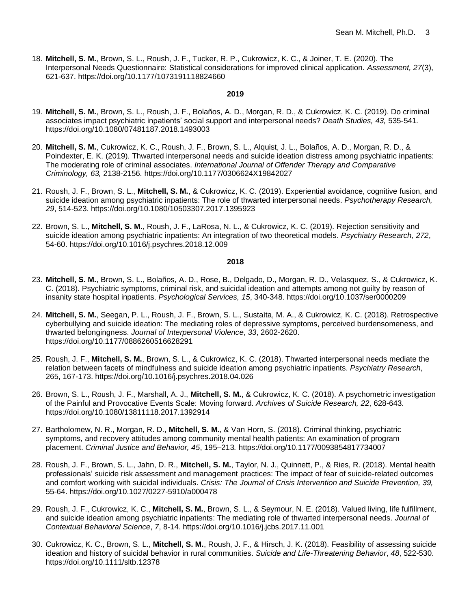18. **Mitchell, S. M.**, Brown, S. L., Roush, J. F., Tucker, R. P., Cukrowicz, K. C., & Joiner, T. E. (2020). The Interpersonal Needs Questionnaire: Statistical considerations for improved clinical application. *Assessment, 27*(3), 621-637. https://doi.org/10.1177/1073191118824660

### **2019**

- 19. **Mitchell, S. M.**, Brown, S. L., Roush, J. F., Bolaños, A. D., Morgan, R. D., & Cukrowicz, K. C. (2019). Do criminal associates impact psychiatric inpatients' social support and interpersonal needs? *Death Studies, 43,* 535-541*.* https://doi.org/10.1080/07481187.2018.1493003
- 20. **Mitchell, S. M.**, Cukrowicz, K. C., Roush, J. F., Brown, S. L., Alquist, J. L., Bolaños, A. D., Morgan, R. D., & Poindexter, E. K. (2019). Thwarted interpersonal needs and suicide ideation distress among psychiatric inpatients: The moderating role of criminal associates. *International Journal of Offender Therapy and Comparative Criminology, 63,* 2138-2156*.* https://doi.org/10.1177/0306624X19842027
- 21. Roush, J. F., Brown, S. L., **Mitchell, S. M.**, & Cukrowicz, K. C. (2019). Experiential avoidance, cognitive fusion, and suicide ideation among psychiatric inpatients: The role of thwarted interpersonal needs. *Psychotherapy Research, 29*, 514-523. https://doi.org/10.1080/10503307.2017.1395923
- 22. Brown, S. L., **Mitchell, S. M.**, Roush, J. F., LaRosa, N. L., & Cukrowicz, K. C. (2019). Rejection sensitivity and suicide ideation among psychiatric inpatients: An integration of two theoretical models. *Psychiatry Research, 272*, 54-60. https://doi.org/10.1016/j.psychres.2018.12.009

- 23. **Mitchell, S. M.**, Brown, S. L., Bolaños, A. D., Rose, B., Delgado, D., Morgan, R. D., Velasquez, S., & Cukrowicz, K. C. (2018). Psychiatric symptoms, criminal risk, and suicidal ideation and attempts among not guilty by reason of insanity state hospital inpatients. *Psychological Services, 15*, 340-348. https://doi.org/10.1037/ser0000209
- 24. **Mitchell, S. M.**, Seegan, P. L., Roush, J. F., Brown, S. L., Sustaíta, M. A., & Cukrowicz, K. C. (2018). Retrospective cyberbullying and suicide ideation: The mediating roles of depressive symptoms, perceived burdensomeness, and thwarted belongingness. *Journal of Interpersonal Violence*, *33*, 2602-2620. https://doi.org/10.1177/0886260516628291
- 25. Roush, J. F., **Mitchell, S. M.**, Brown, S. L., & Cukrowicz, K. C. (2018). Thwarted interpersonal needs mediate the relation between facets of mindfulness and suicide ideation among psychiatric inpatients. *Psychiatry Research*, 265, 167-173. https://doi.org/10.1016/j.psychres.2018.04.026
- 26. Brown, S. L., Roush, J. F., Marshall, A. J., **Mitchell, S. M.**, & Cukrowicz, K. C. (2018). A psychometric investigation of the Painful and Provocative Events Scale: Moving forward. *Archives of Suicide Research, 22*, 628-643. https://doi.org/10.1080/13811118.2017.1392914
- 27. Bartholomew, N. R., Morgan, R. D., **Mitchell, S. M.**, & Van Horn, S. (2018). Criminal thinking, psychiatric symptoms, and recovery attitudes among community mental health patients: An examination of program placement. *Criminal Justice and Behavior, 45*, 195–213*.* https://doi.org/10.1177/0093854817734007
- 28. Roush, J. F., Brown, S. L., Jahn, D. R., **Mitchell, S. M.**, Taylor, N. J., Quinnett, P., & Ries, R. (2018). Mental health professionals' suicide risk assessment and management practices: The impact of fear of suicide-related outcomes and comfort working with suicidal individuals. *Crisis: The Journal of Crisis Intervention and Suicide Prevention, 39,*  55-64. https://doi.org/10.1027/0227-5910/a000478
- 29. Roush, J. F., Cukrowicz, K. C., **Mitchell, S. M.**, Brown, S. L., & Seymour, N. E. (2018). Valued living, life fulfillment, and suicide ideation among psychiatric inpatients: The mediating role of thwarted interpersonal needs. *Journal of Contextual Behavioral Science*, *7*, 8-14. https://doi.org/10.1016/j.jcbs.2017.11.001
- 30. Cukrowicz, K. C., Brown, S. L., **Mitchell, S. M.**, Roush, J. F., & Hirsch, J. K. (2018). Feasibility of assessing suicide ideation and history of suicidal behavior in rural communities. *Suicide and Life-Threatening Behavior*, *48*, 522-530. https://doi.org/10.1111/sltb.12378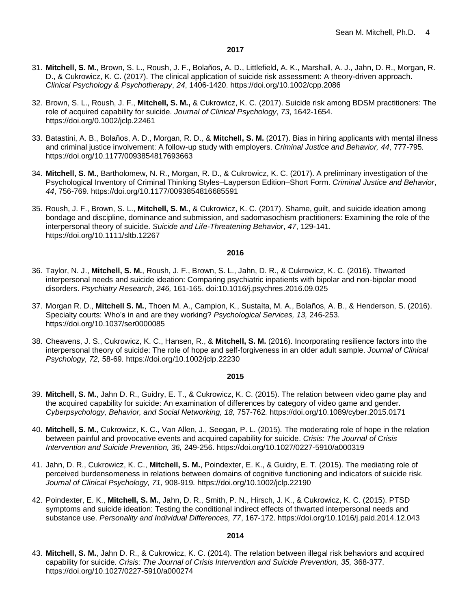- 31. **Mitchell, S. M.**, Brown, S. L., Roush, J. F., Bolaños, A. D., Littlefield, A. K., Marshall, A. J., Jahn, D. R., Morgan, R. D., & Cukrowicz, K. C. (2017). The clinical application of suicide risk assessment: A theory-driven approach. *Clinical Psychology & Psychotherapy*, *24*, 1406-1420. https://doi.org/10.1002/cpp.2086
- 32. Brown, S. L., Roush, J. F., **Mitchell, S. M.,** & Cukrowicz, K. C. (2017). Suicide risk among BDSM practitioners: The role of acquired capability for suicide. *Journal of Clinical Psychology*, *73*, 1642-1654. https://doi.org/0.1002/jclp.22461
- 33. Batastini, A. B., Bolaños, A. D., Morgan, R. D., & **Mitchell, S. M.** (2017). Bias in hiring applicants with mental illness and criminal justice involvement: A follow-up study with employers. *Criminal Justice and Behavior, 44*, 777-795*.* https://doi.org/10.1177/0093854817693663
- 34. **Mitchell, S. M.**, Bartholomew, N. R., Morgan, R. D., & Cukrowicz, K. C. (2017). A preliminary investigation of the Psychological Inventory of Criminal Thinking Styles–Layperson Edition–Short Form. *Criminal Justice and Behavior*, *44*, 756-769. https://doi.org/10.1177/0093854816685591
- 35. Roush, J. F., Brown, S. L., **Mitchell, S. M.**, & Cukrowicz, K. C. (2017). Shame, guilt, and suicide ideation among bondage and discipline, dominance and submission, and sadomasochism practitioners: Examining the role of the interpersonal theory of suicide. *Suicide and Life-Threatening Behavior*, *47*, 129-141. https://doi.org/10.1111/sltb.12267

#### **2016**

- 36. Taylor, N. J., **Mitchell, S. M.**, Roush, J. F., Brown, S. L., Jahn, D. R., & Cukrowicz, K. C. (2016). Thwarted interpersonal needs and suicide ideation: Comparing psychiatric inpatients with bipolar and non-bipolar mood disorders. *Psychiatry Research*, *246,* 161-165. doi:10.1016/j.psychres.2016.09.025
- 37. Morgan R. D., **Mitchell S. M.**, Thoen M. A., Campion, K., Sustaíta, M. A., Bolaños, A. B., & Henderson, S. (2016). Specialty courts: Who's in and are they working? *Psychological Services, 13,* 246-253. https://doi.org/10.1037/ser0000085
- 38. Cheavens, J. S., Cukrowicz, K. C., Hansen, R., & **Mitchell, S. M.** (2016). Incorporating resilience factors into the interpersonal theory of suicide: The role of hope and self-forgiveness in an older adult sample. *Journal of Clinical Psychology, 72,* 58-69*.* https://doi.org/10.1002/jclp.22230

#### **2015**

- 39. **Mitchell, S. M.**, Jahn D. R., Guidry, E. T., & Cukrowicz, K. C. (2015). The relation between video game play and the acquired capability for suicide: An examination of differences by category of video game and gender. *Cyberpsychology, Behavior, and Social Networking, 18,* 757-762*.* https://doi.org/10.1089/cyber.2015.0171
- 40. **Mitchell, S. M.**, Cukrowicz, K. C., Van Allen, J., Seegan, P. L. (2015)*.* The moderating role of hope in the relation between painful and provocative events and acquired capability for suicide. *Crisis: The Journal of Crisis Intervention and Suicide Prevention, 36,* 249-256. https://doi.org/10.1027/0227-5910/a000319
- 41. Jahn, D. R., Cukrowicz, K. C., **Mitchell, S. M.**, Poindexter, E. K., & Guidry, E. T. (2015). The mediating role of perceived burdensomeness in relations between domains of cognitive functioning and indicators of suicide risk. *Journal of Clinical Psychology, 71,* 908-919*.* https://doi.org/10.1002/jclp.22190
- 42. Poindexter, E. K., **Mitchell, S. M.**, Jahn, D. R., Smith, P. N., Hirsch, J. K., & Cukrowicz, K. C. (2015). PTSD symptoms and suicide ideation: Testing the conditional indirect effects of thwarted interpersonal needs and substance use. *Personality and Individual Differences, 77*, 167-172. https://doi.org/10.1016/j.paid.2014.12.043

#### **2014**

43. **Mitchell, S. M.**, Jahn D. R., & Cukrowicz, K. C. (2014). The relation between illegal risk behaviors and acquired capability for suicide*. Crisis: The Journal of Crisis Intervention and Suicide Prevention, 35,* 368-377. https://doi.org/10.1027/0227-5910/a000274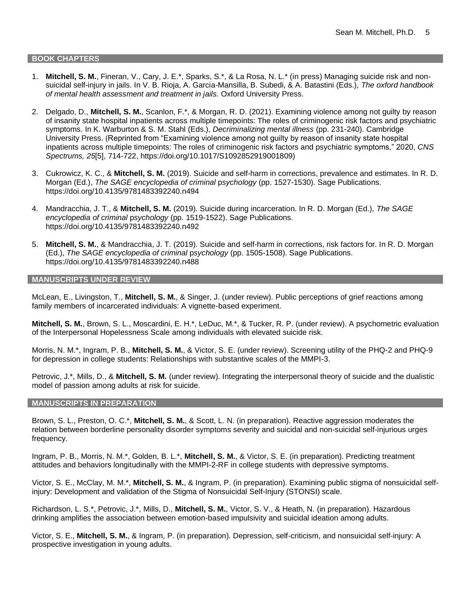#### **BOOK CHAPTERS**

- 1. **Mitchell, S. M.**, Fineran, V., Cary, J. E.\*, Sparks, S.\*, & La Rosa, N. L.\* (in press) Managing suicide risk and nonsuicidal self-injury in jails. In V. B. Rioja, A. Garcia-Mansilla, B. Subedi, & A. Batastini (Eds.), *The oxford handbook of mental health assessment and treatment in jails.* Oxford University Press.
- 2. Delgado, D., **Mitchell, S. M.**, Scanlon, F.\*, & Morgan, R. D. (2021). Examining violence among not guilty by reason of insanity state hospital inpatients across multiple timepoints: The roles of criminogenic risk factors and psychiatric symptoms. In K. Warburton & S. M. Stahl (Eds.), *Decriminalizing mental illness* (pp. 231-240). Cambridge University Press. (Reprinted from "Examining violence among not guilty by reason of insanity state hospital inpatients across multiple timepoints: The roles of criminogenic risk factors and psychiatric symptoms," 2020, *CNS Spectrums, 25*[5], 714-722, https://doi.org/10.1017/S1092852919001809)
- 3. Cukrowicz, K. C., & **Mitchell, S. M.** (2019). Suicide and self-harm in corrections, prevalence and estimates. In R. D. Morgan (Ed.), *The SAGE encyclopedia of criminal* p*sychology* (pp. 1527-1530). Sage Publications. https://doi.org/10.4135/9781483392240.n494
- 4. Mandracchia, J. T., & **Mitchell, S. M.** (2019). Suicide during incarceration. In R. D. Morgan (Ed.), *The SAGE encyclopedia of criminal* p*sychology* (pp. 1519-1522). Sage Publications. https://doi.org/10.4135/9781483392240.n492
- 5. **Mitchell, S. M.**, & Mandracchia, J. T. (2019). Suicide and self-harm in corrections, risk factors for. In R. D. Morgan (Ed.), *The SAGE encyclopedia of criminal* p*sychology* (pp. 1505-1508). Sage Publications. https://doi.org/10.4135/9781483392240.n488

#### **MANUSCRIPTS UNDER REVIEW**

McLean, E., Livingston, T., **Mitchell, S. M.**, & Singer, J. (under review). Public perceptions of grief reactions among family members of incarcerated individuals: A vignette-based experiment.

**Mitchell, S. M.**, Brown, S. L., Moscardini, E. H.\*, LeDuc, M.\*, & Tucker, R. P. (under review). A psychometric evaluation of the Interpersonal Hopelessness Scale among individuals with elevated suicide risk.

Morris, N. M.\*, Ingram, P. B., **Mitchell, S. M.**, & Victor, S. E. (under review). Screening utility of the PHQ-2 and PHQ-9 for depression in college students: Relationships with substantive scales of the MMPI-3.

Petrovic, J.\*, Mills, D., & **Mitchell, S. M.** (under review). Integrating the interpersonal theory of suicide and the dualistic model of passion among adults at risk for suicide.

#### **MANUSCRIPTS IN PREPARATION**

Brown, S. L., Preston, O. C.\*, **Mitchell, S. M.**, & Scott, L. N. (in preparation). Reactive aggression moderates the relation between borderline personality disorder symptoms severity and suicidal and non-suicidal self-injurious urges frequency.

Ingram, P. B., Morris, N. M.\*, Golden, B. L.\*, **Mitchell, S. M.**, & Victor, S. E. (in preparation). Predicting treatment attitudes and behaviors longitudinally with the MMPI-2-RF in college students with depressive symptoms.

Victor, S. E., McClay, M. M.\*, **Mitchell, S. M.**, & Ingram, P. (in preparation). Examining public stigma of nonsuicidal selfinjury: Development and validation of the Stigma of Nonsuicidal Self-Injury (STONSI) scale.

Richardson, L. S.\*, Petrovic, J.\*, Mills, D., **Mitchell, S. M.**, Victor, S. V., & Heath, N. (in preparation). Hazardous drinking amplifies the association between emotion-based impulsivity and suicidal ideation among adults.

Victor, S. E., **Mitchell, S. M.**, & Ingram, P. (in preparation). Depression, self-criticism, and nonsuicidal self-injury: A prospective investigation in young adults.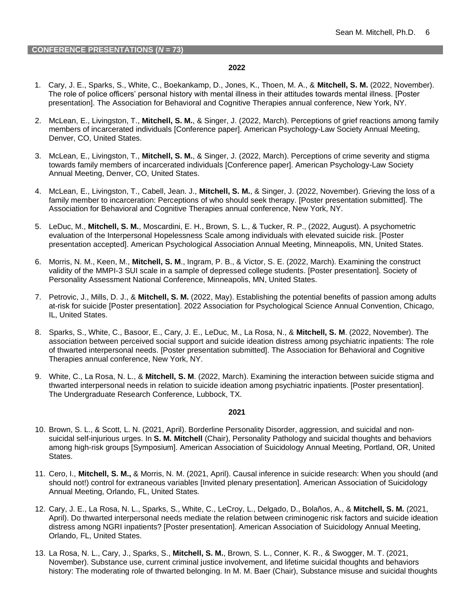- 1. Cary, J. E., Sparks, S., White, C., Boekankamp, D., Jones, K., Thoen, M. A., & **Mitchell, S. M.** (2022, November). The role of police officers' personal history with mental illness in their attitudes towards mental illness. [Poster presentation]. The Association for Behavioral and Cognitive Therapies annual conference, New York, NY.
- 2. McLean, E., Livingston, T., **Mitchell, S. M.**, & Singer, J. (2022, March). Perceptions of grief reactions among family members of incarcerated individuals [Conference paper]. American Psychology-Law Society Annual Meeting, Denver, CO, United States.
- 3. McLean, E., Livingston, T., **Mitchell, S. M.**, & Singer, J. (2022, March). Perceptions of crime severity and stigma towards family members of incarcerated individuals [Conference paper]. American Psychology-Law Society Annual Meeting, Denver, CO, United States.
- 4. McLean, E., Livingston, T., Cabell, Jean. J., **Mitchell, S. M.**, & Singer, J. (2022, November). Grieving the loss of a family member to incarceration: Perceptions of who should seek therapy. [Poster presentation submitted]. The Association for Behavioral and Cognitive Therapies annual conference, New York, NY.
- 5. LeDuc, M., **Mitchell, S. M.**, Moscardini, E. H., Brown, S. L., & Tucker, R. P., (2022, August). A psychometric evaluation of the Interpersonal Hopelessness Scale among individuals with elevated suicide risk. [Poster presentation accepted]. American Psychological Association Annual Meeting, Minneapolis, MN, United States.
- 6. Morris, N. M., Keen, M., **Mitchell, S. M**., Ingram, P. B., & Victor, S. E. (2022, March). Examining the construct validity of the MMPI-3 SUI scale in a sample of depressed college students. [Poster presentation]. Society of Personality Assessment National Conference, Minneapolis, MN, United States.
- 7. Petrovic, J., Mills, D. J., & **Mitchell, S. M.** (2022, May). Establishing the potential benefits of passion among adults at-risk for suicide [Poster presentation]. 2022 Association for Psychological Science Annual Convention, Chicago, IL, United States.
- 8. Sparks, S., White, C., Basoor, E., Cary, J. E., LeDuc, M., La Rosa, N., & **Mitchell, S. M**. (2022, November). The association between perceived social support and suicide ideation distress among psychiatric inpatients: The role of thwarted interpersonal needs. [Poster presentation submitted]. The Association for Behavioral and Cognitive Therapies annual conference, New York, NY.
- 9. White, C., La Rosa, N. L., & **Mitchell, S. M**. (2022, March). Examining the interaction between suicide stigma and thwarted interpersonal needs in relation to suicide ideation among psychiatric inpatients. [Poster presentation]. The Undergraduate Research Conference, Lubbock, TX.

- 10. Brown, S. L., & Scott, L. N. (2021, April). Borderline Personality Disorder, aggression, and suicidal and nonsuicidal self-injurious urges. In **S. M. Mitchell** (Chair), Personality Pathology and suicidal thoughts and behaviors among high-risk groups [Symposium]. American Association of Suicidology Annual Meeting, Portland, OR, United States.
- 11. Cero, I., **Mitchell, S. M.,** & Morris, N. M. (2021, April). Causal inference in suicide research: When you should (and should not!) control for extraneous variables [Invited plenary presentation]. American Association of Suicidology Annual Meeting, Orlando, FL, United States*.*
- 12. Cary, J. E., La Rosa, N. L., Sparks, S., White, C., LeCroy, L., Delgado, D., Bolaños, A., & **Mitchell, S. M.** (2021, April). Do thwarted interpersonal needs mediate the relation between criminogenic risk factors and suicide ideation distress among NGRI inpatients? [Poster presentation]. American Association of Suicidology Annual Meeting, Orlando, FL, United States.
- 13. La Rosa, N. L., Cary, J., Sparks, S., **Mitchell, S. M.**, Brown, S. L., Conner, K. R., & Swogger, M. T. (2021, November). Substance use, current criminal justice involvement, and lifetime suicidal thoughts and behaviors history: The moderating role of thwarted belonging. In M. M. Baer (Chair), Substance misuse and suicidal thoughts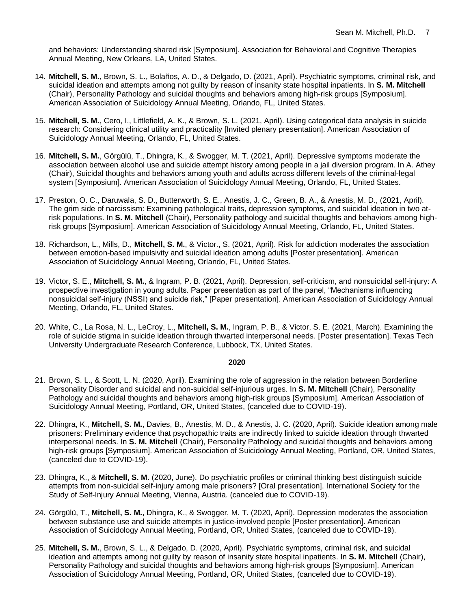and behaviors: Understanding shared risk [Symposium]. Association for Behavioral and Cognitive Therapies Annual Meeting, New Orleans, LA, United States.

- 14. **Mitchell, S. M.**, Brown, S. L., Bolaños, A. D., & Delgado, D. (2021, April). Psychiatric symptoms, criminal risk, and suicidal ideation and attempts among not guilty by reason of insanity state hospital inpatients. In **S. M. Mitchell** (Chair), Personality Pathology and suicidal thoughts and behaviors among high-risk groups [Symposium]. American Association of Suicidology Annual Meeting, Orlando, FL, United States.
- 15. **Mitchell, S. M.**, Cero, I., Littlefield, A. K., & Brown, S. L. (2021, April). Using categorical data analysis in suicide research: Considering clinical utility and practicality [Invited plenary presentation]. American Association of Suicidology Annual Meeting, Orlando, FL, United States*.*
- 16. **Mitchell, S. M.**, Görgülü, T., Dhingra, K., & Swogger, M. T. (2021, April). Depressive symptoms moderate the association between alcohol use and suicide attempt history among people in a jail diversion program. In A. Athey (Chair), Suicidal thoughts and behaviors among youth and adults across different levels of the criminal-legal system [Symposium]. American Association of Suicidology Annual Meeting, Orlando, FL, United States.
- 17. Preston, O. C., Daruwala, S. D., Butterworth, S. E., Anestis, J. C., Green, B. A., & Anestis, M. D., (2021, April). The grim side of narcissism: Examining pathological traits, depression symptoms, and suicidal ideation in two atrisk populations. In **S. M. Mitchell** (Chair), Personality pathology and suicidal thoughts and behaviors among highrisk groups [Symposium]. American Association of Suicidology Annual Meeting, Orlando, FL, United States.
- 18. Richardson, L., Mills, D., **Mitchell, S. M.**, & Victor., S. (2021, April). Risk for addiction moderates the association between emotion-based impulsivity and suicidal ideation among adults [Poster presentation]. American Association of Suicidology Annual Meeting, Orlando, FL, United States.
- 19. Victor, S. E., **Mitchell, S. M.**, & Ingram, P. B. (2021, April). Depression, self-criticism, and nonsuicidal self-injury: A prospective investigation in young adults. Paper presentation as part of the panel, "Mechanisms influencing nonsuicidal self-injury (NSSI) and suicide risk," [Paper presentation]. American Association of Suicidology Annual Meeting, Orlando, FL, United States.
- 20. White, C., La Rosa, N. L., LeCroy, L., **Mitchell, S. M.**, Ingram, P. B., & Victor, S. E. (2021, March). Examining the role of suicide stigma in suicide ideation through thwarted interpersonal needs. [Poster presentation]. Texas Tech University Undergraduate Research Conference, Lubbock, TX, United States.

- 21. Brown, S. L., & Scott, L. N. (2020, April). Examining the role of aggression in the relation between Borderline Personality Disorder and suicidal and non-suicidal self-injurious urges. In **S. M. Mitchell** (Chair), Personality Pathology and suicidal thoughts and behaviors among high-risk groups [Symposium]. American Association of Suicidology Annual Meeting, Portland, OR, United States, (canceled due to COVID-19).
- 22. Dhingra, K., **Mitchell, S. M.**, Davies, B., Anestis, M. D., & Anestis, J. C. (2020, April). Suicide ideation among male prisoners: Preliminary evidence that psychopathic traits are indirectly linked to suicide ideation through thwarted interpersonal needs. In **S. M. Mitchell** (Chair), Personality Pathology and suicidal thoughts and behaviors among high-risk groups [Symposium]. American Association of Suicidology Annual Meeting, Portland, OR, United States, (canceled due to COVID-19).
- 23. Dhingra, K., & **Mitchell, S. M.** (2020, June). Do psychiatric profiles or criminal thinking best distinguish suicide attempts from non-suicidal self-injury among male prisoners? [Oral presentation]. International Society for the Study of Self-Injury Annual Meeting, Vienna, Austria. (canceled due to COVID-19).
- 24. Görgülü, T., **Mitchell, S. M.**, Dhingra, K., & Swogger, M. T. (2020, April). Depression moderates the association between substance use and suicide attempts in justice-involved people [Poster presentation]. American Association of Suicidology Annual Meeting, Portland, OR, United States, (canceled due to COVID-19).
- 25. **Mitchell, S. M.**, Brown, S. L., & Delgado, D. (2020, April). Psychiatric symptoms, criminal risk, and suicidal ideation and attempts among not guilty by reason of insanity state hospital inpatients. In **S. M. Mitchell** (Chair), Personality Pathology and suicidal thoughts and behaviors among high-risk groups [Symposium]. American Association of Suicidology Annual Meeting, Portland, OR, United States, (canceled due to COVID-19).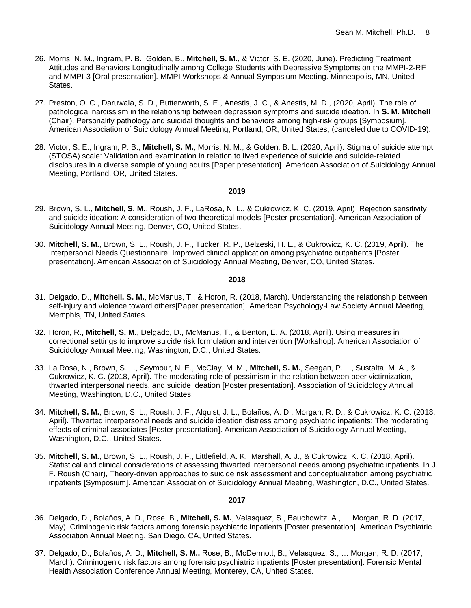- 26. Morris, N. M., Ingram, P. B., Golden, B., **Mitchell, S. M.**, & Victor, S. E. (2020, June). Predicting Treatment Attitudes and Behaviors Longitudinally among College Students with Depressive Symptoms on the MMPI-2-RF and MMPI-3 [Oral presentation]. MMPI Workshops & Annual Symposium Meeting. Minneapolis, MN, United States.
- 27. Preston, O. C., Daruwala, S. D., Butterworth, S. E., Anestis, J. C., & Anestis, M. D., (2020, April). The role of pathological narcissism in the relationship between depression symptoms and suicide ideation. In **S. M. Mitchell** (Chair), Personality pathology and suicidal thoughts and behaviors among high-risk groups [Symposium]. American Association of Suicidology Annual Meeting, Portland, OR, United States, (canceled due to COVID-19).
- 28. Victor, S. E., Ingram, P. B., **Mitchell, S. M.**, Morris, N. M., & Golden, B. L. (2020, April). Stigma of suicide attempt (STOSA) scale: Validation and examination in relation to lived experience of suicide and suicide-related disclosures in a diverse sample of young adults [Paper presentation]. American Association of Suicidology Annual Meeting, Portland, OR, United States.

- 29. Brown, S. L., **Mitchell, S. M.**, Roush, J. F., LaRosa, N. L., & Cukrowicz, K. C. (2019, April). Rejection sensitivity and suicide ideation: A consideration of two theoretical models [Poster presentation]. American Association of Suicidology Annual Meeting, Denver, CO, United States.
- 30. **Mitchell, S. M.**, Brown, S. L., Roush, J. F., Tucker, R. P., Belzeski, H. L., & Cukrowicz, K. C. (2019, April). The Interpersonal Needs Questionnaire: Improved clinical application among psychiatric outpatients [Poster presentation]. American Association of Suicidology Annual Meeting, Denver, CO, United States.

#### **2018**

- 31. Delgado, D., **Mitchell, S. M.**, McManus, T., & Horon, R. (2018, March). Understanding the relationship between self-injury and violence toward others[Paper presentation]. American Psychology-Law Society Annual Meeting, Memphis, TN, United States.
- 32. Horon, R., **Mitchell, S. M.**, Delgado, D., McManus, T., & Benton, E. A. (2018, April). Using measures in correctional settings to improve suicide risk formulation and intervention [Workshop]. American Association of Suicidology Annual Meeting, Washington, D.C., United States.
- 33. La Rosa, N., Brown, S. L., Seymour, N. E., McClay, M. M., **Mitchell, S. M.**, Seegan, P. L., Sustaíta, M. A., & Cukrowicz, K. C. (2018, April). The moderating role of pessimism in the relation between peer victimization, thwarted interpersonal needs, and suicide ideation [Poster presentation]. Association of Suicidology Annual Meeting, Washington, D.C., United States.
- 34. **Mitchell, S. M.**, Brown, S. L., Roush, J. F., Alquist, J. L., Bolaños, A. D., Morgan, R. D., & Cukrowicz, K. C. (2018, April). Thwarted interpersonal needs and suicide ideation distress among psychiatric inpatients: The moderating effects of criminal associates [Poster presentation]. American Association of Suicidology Annual Meeting, Washington, D.C., United States.
- 35. **Mitchell, S. M.**, Brown, S. L., Roush, J. F., Littlefield, A. K., Marshall, A. J., & Cukrowicz, K. C. (2018, April). Statistical and clinical considerations of assessing thwarted interpersonal needs among psychiatric inpatients. In J. F. Roush (Chair), Theory-driven approaches to suicide risk assessment and conceptualization among psychiatric inpatients [Symposium]. American Association of Suicidology Annual Meeting, Washington, D.C., United States.

- 36. Delgado, D., Bolaños, A. D., Rose, B., **Mitchell, S. M.**, Velasquez, S., Bauchowitz, A., … Morgan, R. D. (2017, May). Criminogenic risk factors among forensic psychiatric inpatients [Poster presentation]. American Psychiatric Association Annual Meeting, San Diego, CA, United States.
- 37. Delgado, D., Bolaños, A. D., **Mitchell, S. M.,** Rose, B., McDermott, B., Velasquez, S., … Morgan, R. D. (2017, March). Criminogenic risk factors among forensic psychiatric inpatients [Poster presentation]. Forensic Mental Health Association Conference Annual Meeting, Monterey, CA, United States.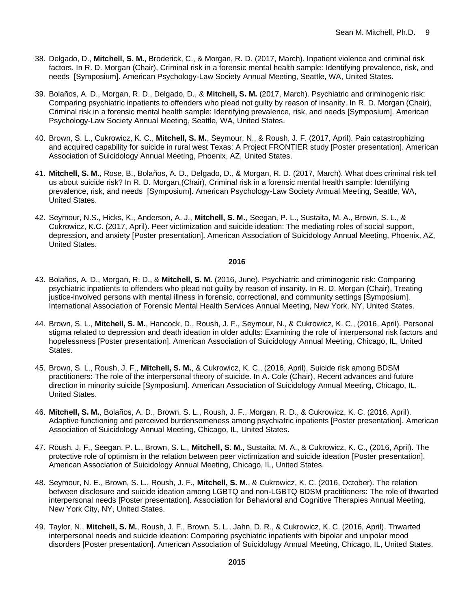- 38. Delgado, D., **Mitchell, S. M.**, Broderick, C., & Morgan, R. D. (2017, March). Inpatient violence and criminal risk factors. In R. D. Morgan (Chair), Criminal risk in a forensic mental health sample: Identifying prevalence, risk, and needs [Symposium]. American Psychology-Law Society Annual Meeting, Seattle, WA, United States.
- 39. Bolaños, A. D., Morgan, R. D., Delgado, D., & **Mitchell, S. M.** (2017, March). Psychiatric and criminogenic risk: Comparing psychiatric inpatients to offenders who plead not guilty by reason of insanity. In R. D. Morgan (Chair), Criminal risk in a forensic mental health sample: Identifying prevalence, risk, and needs [Symposium]. American Psychology-Law Society Annual Meeting, Seattle, WA, United States.
- 40. Brown, S. L., Cukrowicz, K. C., **Mitchell, S. M.**, Seymour, N., & Roush, J. F. (2017, April). Pain catastrophizing and acquired capability for suicide in rural west Texas: A Project FRONTIER study [Poster presentation]. American Association of Suicidology Annual Meeting, Phoenix, AZ, United States.
- 41. **Mitchell, S. M.**, Rose, B., Bolaños, A. D., Delgado, D., & Morgan, R. D. (2017, March). What does criminal risk tell us about suicide risk? In R. D. Morgan,(Chair), Criminal risk in a forensic mental health sample: Identifying prevalence, risk, and needs [Symposium]. American Psychology-Law Society Annual Meeting, Seattle, WA, United States.
- 42. Seymour, N.S., Hicks, K., Anderson, A. J., **Mitchell, S. M.**, Seegan, P. L., Sustaita, M. A., Brown, S. L., & Cukrowicz, K.C. (2017, April). Peer victimization and suicide ideation: The mediating roles of social support, depression, and anxiety [Poster presentation]. American Association of Suicidology Annual Meeting, Phoenix, AZ, United States.

- 43. Bolaños, A. D., Morgan, R. D., & **Mitchell, S. M.** (2016, June). Psychiatric and criminogenic risk: Comparing psychiatric inpatients to offenders who plead not guilty by reason of insanity. In R. D. Morgan (Chair), Treating justice-involved persons with mental illness in forensic, correctional, and community settings [Symposium]. International Association of Forensic Mental Health Services Annual Meeting, New York, NY, United States.
- 44. Brown, S. L., **Mitchell, S. M.**, Hancock, D., Roush, J. F., Seymour, N., & Cukrowicz, K. C., (2016, April). Personal stigma related to depression and death ideation in older adults: Examining the role of interpersonal risk factors and hopelessness [Poster presentation]. American Association of Suicidology Annual Meeting, Chicago, IL, United States.
- 45. Brown, S. L., Roush, J. F., **Mitchell, S. M.**, & Cukrowicz, K. C., (2016, April). Suicide risk among BDSM practitioners: The role of the interpersonal theory of suicide. In A. Cole (Chair), Recent advances and future direction in minority suicide [Symposium]. American Association of Suicidology Annual Meeting, Chicago, IL, United States.
- 46. **Mitchell, S. M.**, Bolaños, A. D., Brown, S. L., Roush, J. F., Morgan, R. D., & Cukrowicz, K. C. (2016, April). Adaptive functioning and perceived burdensomeness among psychiatric inpatients [Poster presentation]. American Association of Suicidology Annual Meeting, Chicago, IL, United States.
- 47. Roush, J. F., Seegan, P. L., Brown, S. L., **Mitchell, S. M.**, Sustaíta, M. A., & Cukrowicz, K. C., (2016, April). The protective role of optimism in the relation between peer victimization and suicide ideation [Poster presentation]. American Association of Suicidology Annual Meeting, Chicago, IL, United States.
- 48. Seymour, N. E., Brown, S. L., Roush, J. F., **Mitchell, S. M.**, & Cukrowicz, K. C. (2016, October). The relation between disclosure and suicide ideation among LGBTQ and non-LGBTQ BDSM practitioners: The role of thwarted interpersonal needs [Poster presentation]. Association for Behavioral and Cognitive Therapies Annual Meeting, New York City, NY, United States.
- 49. Taylor, N., **Mitchell, S. M.**, Roush, J. F., Brown, S. L., Jahn, D. R., & Cukrowicz, K. C. (2016, April). Thwarted interpersonal needs and suicide ideation: Comparing psychiatric inpatients with bipolar and unipolar mood disorders [Poster presentation]. American Association of Suicidology Annual Meeting, Chicago, IL, United States.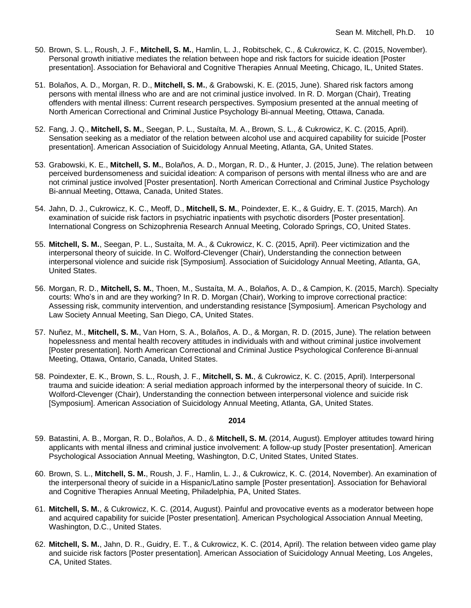- 50. Brown, S. L., Roush, J. F., **Mitchell, S. M.**, Hamlin, L. J., Robitschek, C., & Cukrowicz, K. C. (2015, November). Personal growth initiative mediates the relation between hope and risk factors for suicide ideation [Poster presentation]. Association for Behavioral and Cognitive Therapies Annual Meeting, Chicago, IL, United States.
- 51. Bolaños, A. D., Morgan, R. D., **Mitchell, S. M.**, & Grabowski, K. E. (2015, June). Shared risk factors among persons with mental illness who are and are not criminal justice involved. In R. D. Morgan (Chair), Treating offenders with mental illness: Current research perspectives. Symposium presented at the annual meeting of North American Correctional and Criminal Justice Psychology Bi-annual Meeting, Ottawa, Canada.
- 52. Fang, J. Q., **Mitchell, S. M.**, Seegan, P. L., Sustaíta, M. A., Brown, S. L., & Cukrowicz, K. C. (2015, April). Sensation seeking as a mediator of the relation between alcohol use and acquired capability for suicide [Poster presentation]. American Association of Suicidology Annual Meeting, Atlanta, GA, United States.
- 53. Grabowski, K. E., **Mitchell, S. M.**, Bolaños, A. D., Morgan, R. D., & Hunter, J. (2015, June). The relation between perceived burdensomeness and suicidal ideation: A comparison of persons with mental illness who are and are not criminal justice involved [Poster presentation]. North American Correctional and Criminal Justice Psychology Bi-annual Meeting, Ottawa, Canada, United States.
- 54. Jahn, D. J., Cukrowicz, K. C., Meoff, D., **Mitchell, S. M.**, Poindexter, E. K., & Guidry, E. T. (2015, March). An examination of suicide risk factors in psychiatric inpatients with psychotic disorders [Poster presentation]. International Congress on Schizophrenia Research Annual Meeting, Colorado Springs, CO, United States.
- 55. **Mitchell, S. M.**, Seegan, P. L., Sustaíta, M. A., & Cukrowicz, K. C. (2015, April). Peer victimization and the interpersonal theory of suicide. In C. Wolford-Clevenger (Chair), Understanding the connection between interpersonal violence and suicide risk [Symposium]. Association of Suicidology Annual Meeting, Atlanta, GA, United States.
- 56. Morgan, R. D., **Mitchell, S. M.**, Thoen, M., Sustaíta, M. A., Bolaños, A. D., & Campion, K. (2015, March). Specialty courts: Who's in and are they working? In R. D. Morgan (Chair), Working to improve correctional practice: Assessing risk, community intervention, and understanding resistance [Symposium]. American Psychology and Law Society Annual Meeting, San Diego, CA, United States.
- 57. Nuñez, M., **Mitchell, S. M.**, Van Horn, S. A., Bolaños, A. D., & Morgan, R. D. (2015, June). The relation between hopelessness and mental health recovery attitudes in individuals with and without criminal justice involvement [Poster presentation]. North American Correctional and Criminal Justice Psychological Conference Bi-annual Meeting, Ottawa, Ontario, Canada, United States.
- 58. Poindexter, E. K., Brown, S. L., Roush, J. F., **Mitchell, S. M.**, & Cukrowicz, K. C. (2015, April). Interpersonal trauma and suicide ideation: A serial mediation approach informed by the interpersonal theory of suicide. In C. Wolford-Clevenger (Chair), Understanding the connection between interpersonal violence and suicide risk [Symposium]. American Association of Suicidology Annual Meeting, Atlanta, GA, United States.

- 59. Batastini, A. B., Morgan, R. D., Bolaños, A. D., & **Mitchell, S. M.** (2014, August). Employer attitudes toward hiring applicants with mental illness and criminal justice involvement: A follow-up study [Poster presentation]. American Psychological Association Annual Meeting, Washington, D.C, United States, United States.
- 60. Brown, S. L., **Mitchell, S. M.**, Roush, J. F., Hamlin, L. J., & Cukrowicz, K. C. (2014, November). An examination of the interpersonal theory of suicide in a Hispanic/Latino sample [Poster presentation]. Association for Behavioral and Cognitive Therapies Annual Meeting, Philadelphia, PA, United States.
- 61. **Mitchell, S. M.**, & Cukrowicz, K. C. (2014, August). Painful and provocative events as a moderator between hope and acquired capability for suicide [Poster presentation]. American Psychological Association Annual Meeting, Washington, D.C., United States.
- 62. **Mitchell, S. M.**, Jahn, D. R., Guidry, E. T., & Cukrowicz, K. C. (2014, April). The relation between video game play and suicide risk factors [Poster presentation]. American Association of Suicidology Annual Meeting, Los Angeles, CA, United States.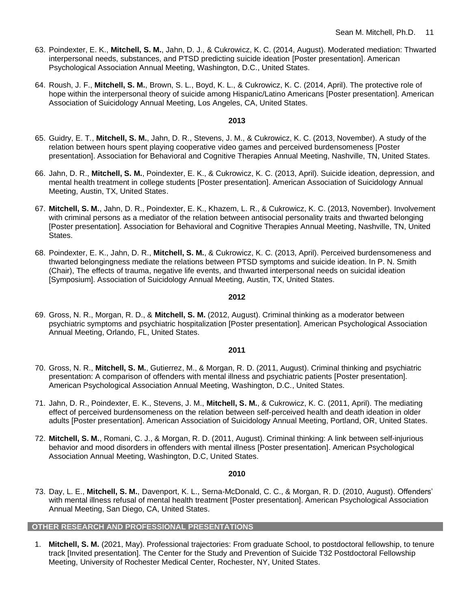- 63. Poindexter, E. K., **Mitchell, S. M.**, Jahn, D. J., & Cukrowicz, K. C. (2014, August). Moderated mediation: Thwarted interpersonal needs, substances, and PTSD predicting suicide ideation [Poster presentation]. American Psychological Association Annual Meeting, Washington, D.C., United States.
- 64. Roush, J. F., **Mitchell, S. M.**, Brown, S. L., Boyd, K. L., & Cukrowicz, K. C. (2014, April). The protective role of hope within the interpersonal theory of suicide among Hispanic/Latino Americans [Poster presentation]. American Association of Suicidology Annual Meeting, Los Angeles, CA, United States.

- 65. Guidry, E. T., **Mitchell, S. M.**, Jahn, D. R., Stevens, J. M., & Cukrowicz, K. C. (2013, November). A study of the relation between hours spent playing cooperative video games and perceived burdensomeness [Poster presentation]. Association for Behavioral and Cognitive Therapies Annual Meeting, Nashville, TN, United States.
- 66. Jahn, D. R., **Mitchell, S. M.**, Poindexter, E. K., & Cukrowicz, K. C. (2013, April). Suicide ideation, depression, and mental health treatment in college students [Poster presentation]. American Association of Suicidology Annual Meeting, Austin, TX, United States.
- 67. **Mitchell, S. M.**, Jahn, D. R., Poindexter, E. K., Khazem, L. R., & Cukrowicz, K. C. (2013, November). Involvement with criminal persons as a mediator of the relation between antisocial personality traits and thwarted belonging [Poster presentation]. Association for Behavioral and Cognitive Therapies Annual Meeting, Nashville, TN, United States.
- 68. Poindexter, E. K., Jahn, D. R., **Mitchell, S. M.**, & Cukrowicz, K. C. (2013, April). Perceived burdensomeness and thwarted belongingness mediate the relations between PTSD symptoms and suicide ideation. In P. N. Smith (Chair), The effects of trauma, negative life events, and thwarted interpersonal needs on suicidal ideation [Symposium]. Association of Suicidology Annual Meeting, Austin, TX, United States.

#### **2012**

69. Gross, N. R., Morgan, R. D., & **Mitchell, S. M.** (2012, August). Criminal thinking as a moderator between psychiatric symptoms and psychiatric hospitalization [Poster presentation]. American Psychological Association Annual Meeting, Orlando, FL, United States.

#### **2011**

- 70. Gross, N. R., **Mitchell, S. M.**, Gutierrez, M., & Morgan, R. D. (2011, August). Criminal thinking and psychiatric presentation: A comparison of offenders with mental illness and psychiatric patients [Poster presentation]. American Psychological Association Annual Meeting, Washington, D.C., United States.
- 71. Jahn, D. R., Poindexter, E. K., Stevens, J. M., **Mitchell, S. M.**, & Cukrowicz, K. C. (2011, April). The mediating effect of perceived burdensomeness on the relation between self-perceived health and death ideation in older adults [Poster presentation]. American Association of Suicidology Annual Meeting, Portland, OR, United States.
- 72. **Mitchell, S. M.**, Romani, C. J., & Morgan, R. D. (2011, August). Criminal thinking: A link between self-injurious behavior and mood disorders in offenders with mental illness [Poster presentation]. American Psychological Association Annual Meeting, Washington, D.C, United States.

#### **2010**

73. Day, L. E., **Mitchell, S. M.**, Davenport, K. L., Serna-McDonald, C. C., & Morgan, R. D. (2010, August). Offenders' with mental illness refusal of mental health treatment [Poster presentation]. American Psychological Association Annual Meeting, San Diego, CA, United States.

### **OTHER RESEARCH AND PROFESSIONAL PRESENTATIONS**

1. **Mitchell, S. M.** (2021, May). Professional trajectories: From graduate School, to postdoctoral fellowship, to tenure track [Invited presentation]. The Center for the Study and Prevention of Suicide T32 Postdoctoral Fellowship Meeting, University of Rochester Medical Center, Rochester, NY, United States.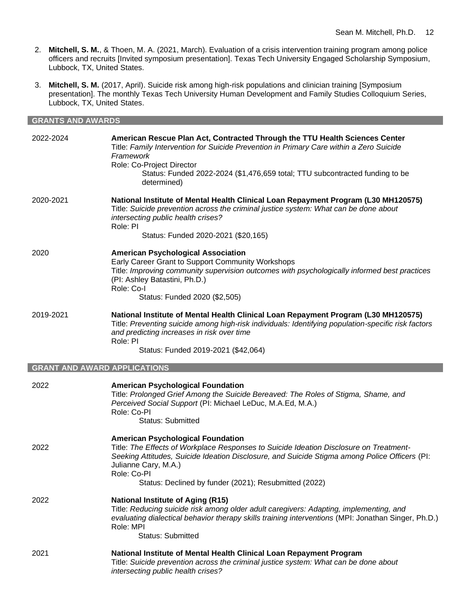- 2. **Mitchell, S. M.**, & Thoen, M. A. (2021, March). Evaluation of a crisis intervention training program among police officers and recruits [Invited symposium presentation]. Texas Tech University Engaged Scholarship Symposium, Lubbock, TX, United States.
- 3. **Mitchell, S. M.** (2017, April). Suicide risk among high-risk populations and clinician training [Symposium presentation]. The monthly Texas Tech University Human Development and Family Studies Colloquium Series, Lubbock, TX, United States.

| <b>GRANTS AND AWARDS</b>            |                                                                                                                                                                                                                                                                                                                 |  |
|-------------------------------------|-----------------------------------------------------------------------------------------------------------------------------------------------------------------------------------------------------------------------------------------------------------------------------------------------------------------|--|
| 2022-2024                           | American Rescue Plan Act, Contracted Through the TTU Health Sciences Center<br>Title: Family Intervention for Suicide Prevention in Primary Care within a Zero Suicide<br>Framework<br>Role: Co-Project Director<br>Status: Funded 2022-2024 (\$1,476,659 total; TTU subcontracted funding to be<br>determined) |  |
| 2020-2021                           | National Institute of Mental Health Clinical Loan Repayment Program (L30 MH120575)<br>Title: Suicide prevention across the criminal justice system: What can be done about<br>intersecting public health crises?<br>Role: PI<br>Status: Funded 2020-2021 (\$20,165)                                             |  |
| 2020                                | <b>American Psychological Association</b><br>Early Career Grant to Support Community Workshops<br>Title: Improving community supervision outcomes with psychologically informed best practices<br>(PI: Ashley Batastini, Ph.D.)<br>Role: Co-I<br>Status: Funded 2020 (\$2,505)                                  |  |
| 2019-2021                           | National Institute of Mental Health Clinical Loan Repayment Program (L30 MH120575)<br>Title: Preventing suicide among high-risk individuals: Identifying population-specific risk factors<br>and predicting increases in risk over time<br>Role: PI<br>Status: Funded 2019-2021 (\$42,064)                      |  |
| <b>GRANT AND AWARD APPLICATIONS</b> |                                                                                                                                                                                                                                                                                                                 |  |
| 2022                                | <b>American Psychological Foundation</b>                                                                                                                                                                                                                                                                        |  |

| 2022 | <b>American Psychological Foundation</b><br>Title: Prolonged Grief Among the Suicide Bereaved: The Roles of Stigma, Shame, and<br>Perceived Social Support (PI: Michael LeDuc, M.A.Ed, M.A.)<br>Role: Co-PI<br>Status: Submitted                                                                                                    |
|------|-------------------------------------------------------------------------------------------------------------------------------------------------------------------------------------------------------------------------------------------------------------------------------------------------------------------------------------|
| 2022 | <b>American Psychological Foundation</b><br>Title: The Effects of Workplace Responses to Suicide Ideation Disclosure on Treatment-<br>Seeking Attitudes, Suicide Ideation Disclosure, and Suicide Stigma among Police Officers (PI:<br>Julianne Cary, M.A.)<br>Role: Co-PI<br>Status: Declined by funder (2021); Resubmitted (2022) |
| 2022 | <b>National Institute of Aging (R15)</b><br>Title: Reducing suicide risk among older adult caregivers: Adapting, implementing, and<br>evaluating dialectical behavior therapy skills training interventions (MPI: Jonathan Singer, Ph.D.)<br>Role: MPI<br>Status: Submitted                                                         |
| 2021 | National Institute of Mental Health Clinical Loan Repayment Program<br>Title: Suicide prevention across the criminal justice system: What can be done about<br>intersecting public health crises?                                                                                                                                   |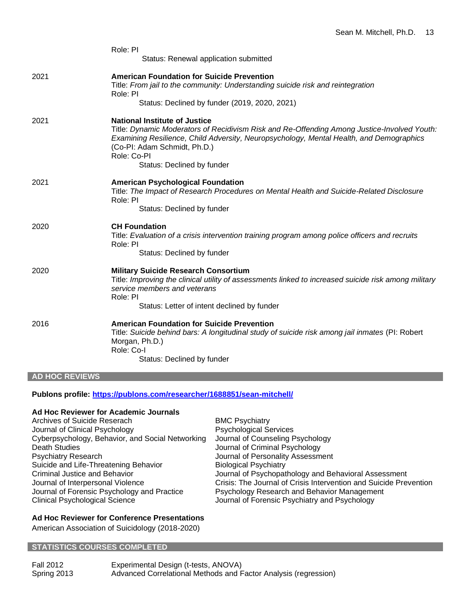|      | Role: PI<br>Status: Renewal application submitted                                                                                                                                                                                                                                                           |
|------|-------------------------------------------------------------------------------------------------------------------------------------------------------------------------------------------------------------------------------------------------------------------------------------------------------------|
| 2021 | <b>American Foundation for Suicide Prevention</b><br>Title: From jail to the community: Understanding suicide risk and reintegration<br>Role: PI<br>Status: Declined by funder (2019, 2020, 2021)                                                                                                           |
| 2021 | <b>National Institute of Justice</b><br>Title: Dynamic Moderators of Recidivism Risk and Re-Offending Among Justice-Involved Youth:<br>Examining Resilience, Child Adversity, Neuropsychology, Mental Health, and Demographics<br>(Co-PI: Adam Schmidt, Ph.D.)<br>Role: Co-PI<br>Status: Declined by funder |
| 2021 | <b>American Psychological Foundation</b><br>Title: The Impact of Research Procedures on Mental Health and Suicide-Related Disclosure<br>Role: PI<br>Status: Declined by funder                                                                                                                              |
| 2020 | <b>CH Foundation</b><br>Title: Evaluation of a crisis intervention training program among police officers and recruits<br>Role: PI<br>Status: Declined by funder                                                                                                                                            |
| 2020 | <b>Military Suicide Research Consortium</b><br>Title: Improving the clinical utility of assessments linked to increased suicide risk among military<br>service members and veterans<br>Role: PI<br>Status: Letter of intent declined by funder                                                              |
| 2016 | <b>American Foundation for Suicide Prevention</b><br>Title: Suicide behind bars: A longitudinal study of suicide risk among jail inmates (PI: Robert<br>Morgan, Ph.D.)<br>Role: Co-I<br>Status: Declined by funder                                                                                          |

## **AD HOC REVIEWS**

## **Publons profile: <https://publons.com/researcher/1688851/sean-mitchell/>**

## **Ad Hoc Reviewer for Academic Journals**

| Archives of Suicide Reserach                     | <b>BMC Psychiatry</b>                                             |
|--------------------------------------------------|-------------------------------------------------------------------|
| Journal of Clinical Psychology                   | <b>Psychological Services</b>                                     |
| Cyberpsychology, Behavior, and Social Networking | Journal of Counseling Psychology                                  |
| Death Studies                                    | Journal of Criminal Psychology                                    |
| <b>Psychiatry Research</b>                       | Journal of Personality Assessment                                 |
| Suicide and Life-Threatening Behavior            | <b>Biological Psychiatry</b>                                      |
| Criminal Justice and Behavior                    | Journal of Psychopathology and Behavioral Assessment              |
| Journal of Interpersonal Violence                | Crisis: The Journal of Crisis Intervention and Suicide Prevention |
| Journal of Forensic Psychology and Practice      | Psychology Research and Behavior Management                       |
| <b>Clinical Psychological Science</b>            | Journal of Forensic Psychiatry and Psychology                     |

## **Ad Hoc Reviewer for Conference Presentations**

American Association of Suicidology (2018-2020)

## **STATISTICS COURSES COMPLETED**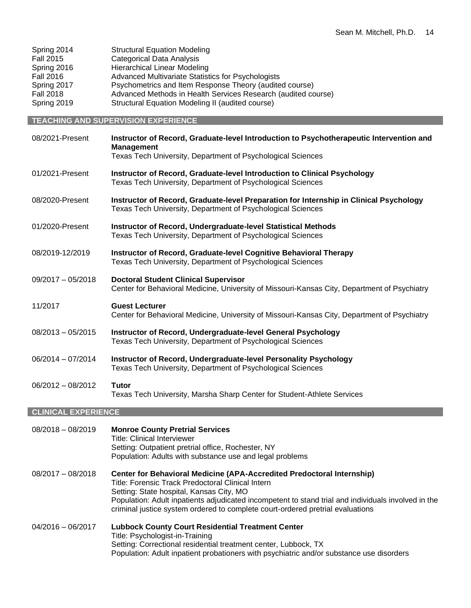| Spring 2014      | <b>Structural Equation Modeling</b>                           |
|------------------|---------------------------------------------------------------|
| <b>Fall 2015</b> | <b>Categorical Data Analysis</b>                              |
| Spring 2016      | <b>Hierarchical Linear Modeling</b>                           |
| <b>Fall 2016</b> | Advanced Multivariate Statistics for Psychologists            |
| Spring 2017      | Psychometrics and Item Response Theory (audited course)       |
| <b>Fall 2018</b> | Advanced Methods in Health Services Research (audited course) |
| Spring 2019      | Structural Equation Modeling II (audited course)              |

## **TEACHING AND SUPERVISION EXPERIENCE**

| 08/2021-Present            | Instructor of Record, Graduate-level Introduction to Psychotherapeutic Intervention and<br><b>Management</b><br>Texas Tech University, Department of Psychological Sciences |
|----------------------------|-----------------------------------------------------------------------------------------------------------------------------------------------------------------------------|
|                            |                                                                                                                                                                             |
| 01/2021-Present            | Instructor of Record, Graduate-level Introduction to Clinical Psychology<br>Texas Tech University, Department of Psychological Sciences                                     |
| 08/2020-Present            | Instructor of Record, Graduate-level Preparation for Internship in Clinical Psychology<br>Texas Tech University, Department of Psychological Sciences                       |
| 01/2020-Present            | Instructor of Record, Undergraduate-level Statistical Methods<br>Texas Tech University, Department of Psychological Sciences                                                |
| 08/2019-12/2019            | Instructor of Record, Graduate-level Cognitive Behavioral Therapy<br>Texas Tech University, Department of Psychological Sciences                                            |
| $09/2017 - 05/2018$        | <b>Doctoral Student Clinical Supervisor</b><br>Center for Behavioral Medicine, University of Missouri-Kansas City, Department of Psychiatry                                 |
| 11/2017                    | <b>Guest Lecturer</b><br>Center for Behavioral Medicine, University of Missouri-Kansas City, Department of Psychiatry                                                       |
| $08/2013 - 05/2015$        | Instructor of Record, Undergraduate-level General Psychology<br>Texas Tech University, Department of Psychological Sciences                                                 |
| 06/2014 - 07/2014          | Instructor of Record, Undergraduate-level Personality Psychology<br>Texas Tech University, Department of Psychological Sciences                                             |
| $06/2012 - 08/2012$        | <b>Tutor</b><br>Texas Tech University, Marsha Sharp Center for Student-Athlete Services                                                                                     |
| <b>CLINICAL EXPERIENCE</b> |                                                                                                                                                                             |

| $08/2018 - 08/2019$ | <b>Monroe County Pretrial Services</b><br><b>Title: Clinical Interviewer</b><br>Setting: Outpatient pretrial office, Rochester, NY<br>Population: Adults with substance use and legal problems                                                                                                                                                                   |
|---------------------|------------------------------------------------------------------------------------------------------------------------------------------------------------------------------------------------------------------------------------------------------------------------------------------------------------------------------------------------------------------|
| $08/2017 - 08/2018$ | Center for Behavioral Medicine (APA-Accredited Predoctoral Internship)<br>Title: Forensic Track Predoctoral Clinical Intern<br>Setting: State hospital, Kansas City, MO<br>Population: Adult inpatients adjudicated incompetent to stand trial and individuals involved in the<br>criminal justice system ordered to complete court-ordered pretrial evaluations |
| $04/2016 - 06/2017$ | <b>Lubbock County Court Residential Treatment Center</b><br>Title: Psychologist-in-Training<br>Setting: Correctional residential treatment center, Lubbock, TX<br>Population: Adult inpatient probationers with psychiatric and/or substance use disorders                                                                                                       |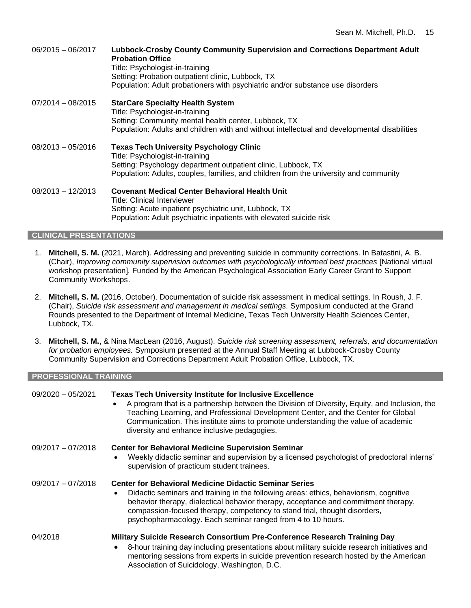06/2015 – 06/2017 **Lubbock-Crosby County Community Supervision and Corrections Department Adult Probation Office** Title: Psychologist-in-training Setting: Probation outpatient clinic, Lubbock, TX Population: Adult probationers with psychiatric and/or substance use disorders 07/2014 – 08/2015 **StarCare Specialty Health System** Title: Psychologist-in-training Setting: Community mental health center, Lubbock, TX Population: Adults and children with and without intellectual and developmental disabilities 08/2013 – 05/2016 **Texas Tech University Psychology Clinic** Title: Psychologist-in-training Setting: Psychology department outpatient clinic, Lubbock, TX Population: Adults, couples, families, and children from the university and community 08/2013 – 12/2013 **Covenant Medical Center Behavioral Health Unit** Title: Clinical Interviewer Setting: Acute inpatient psychiatric unit, Lubbock, TX Population: Adult psychiatric inpatients with elevated suicide risk

## **CLINICAL PRESENTATIONS**

- 1. **Mitchell, S. M.** (2021, March). Addressing and preventing suicide in community corrections. In Batastini, A. B. (Chair), *Improving community supervision outcomes with psychologically informed best practices* [National virtual workshop presentation]*.* Funded by the American Psychological Association Early Career Grant to Support Community Workshops.
- 2. **Mitchell, S. M.** (2016, October). Documentation of suicide risk assessment in medical settings. In Roush, J. F. (Chair), *Suicide risk assessment and management in medical settings.* Symposium conducted at the Grand Rounds presented to the Department of Internal Medicine, Texas Tech University Health Sciences Center, Lubbock, TX.
- 3. **Mitchell, S. M.**, & Nina MacLean (2016, August). *Suicide risk screening assessment, referrals, and documentation for probation employees.* Symposium presented at the Annual Staff Meeting at Lubbock-Crosby County Community Supervision and Corrections Department Adult Probation Office, Lubbock, TX.

#### **PROFESSIONAL TRAINING**

| $09/2020 - 05/2021$ | <b>Texas Tech University Institute for Inclusive Excellence</b><br>A program that is a partnership between the Division of Diversity, Equity, and Inclusion, the<br>Teaching Learning, and Professional Development Center, and the Center for Global<br>Communication. This institute aims to promote understanding the value of academic<br>diversity and enhance inclusive pedagogies.             |
|---------------------|-------------------------------------------------------------------------------------------------------------------------------------------------------------------------------------------------------------------------------------------------------------------------------------------------------------------------------------------------------------------------------------------------------|
| $09/2017 - 07/2018$ | <b>Center for Behavioral Medicine Supervision Seminar</b><br>Weekly didactic seminar and supervision by a licensed psychologist of predoctoral interns'<br>$\bullet$<br>supervision of practicum student trainees.                                                                                                                                                                                    |
| $09/2017 - 07/2018$ | <b>Center for Behavioral Medicine Didactic Seminar Series</b><br>Didactic seminars and training in the following areas: ethics, behaviorism, cognitive<br>$\bullet$<br>behavior therapy, dialectical behavior therapy, acceptance and commitment therapy,<br>compassion-focused therapy, competency to stand trial, thought disorders,<br>psychopharmacology. Each seminar ranged from 4 to 10 hours. |
| 04/2018             | Military Suicide Research Consortium Pre-Conference Research Training Day<br>8-hour training day including presentations about military suicide research initiatives and<br>$\bullet$<br>mentoring sessions from experts in suicide prevention research hosted by the American<br>Association of Suicidology, Washington, D.C.                                                                        |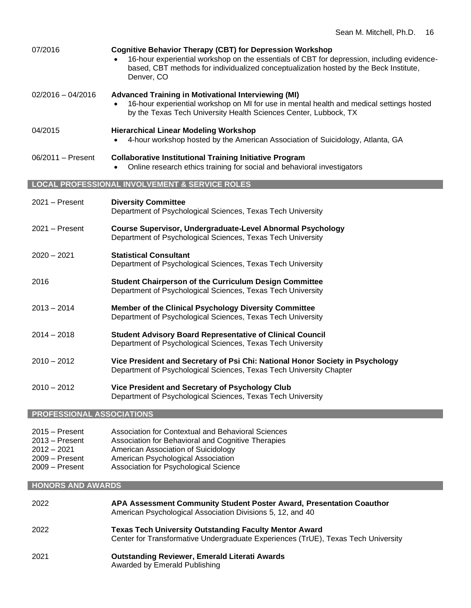| 07/2016                          | <b>Cognitive Behavior Therapy (CBT) for Depression Workshop</b><br>16-hour experiential workshop on the essentials of CBT for depression, including evidence-<br>based, CBT methods for individualized conceptualization hosted by the Beck Institute,<br>Denver, CO |
|----------------------------------|----------------------------------------------------------------------------------------------------------------------------------------------------------------------------------------------------------------------------------------------------------------------|
| $02/2016 - 04/2016$              | <b>Advanced Training in Motivational Interviewing (MI)</b><br>16-hour experiential workshop on MI for use in mental health and medical settings hosted<br>by the Texas Tech University Health Sciences Center, Lubbock, TX                                           |
| 04/2015                          | <b>Hierarchical Linear Modeling Workshop</b><br>4-hour workshop hosted by the American Association of Suicidology, Atlanta, GA                                                                                                                                       |
| 06/2011 – Present                | <b>Collaborative Institutional Training Initiative Program</b><br>Online research ethics training for social and behavioral investigators                                                                                                                            |
|                                  | <b>LOCAL PROFESSIONAL INVOLVEMENT &amp; SERVICE ROLES</b>                                                                                                                                                                                                            |
| $2021 -$ Present                 | <b>Diversity Committee</b><br>Department of Psychological Sciences, Texas Tech University                                                                                                                                                                            |
| $2021 -$ Present                 | <b>Course Supervisor, Undergraduate-Level Abnormal Psychology</b><br>Department of Psychological Sciences, Texas Tech University                                                                                                                                     |
| 2020 – 2021                      | <b>Statistical Consultant</b><br>Department of Psychological Sciences, Texas Tech University                                                                                                                                                                         |
| 2016                             | <b>Student Chairperson of the Curriculum Design Committee</b><br>Department of Psychological Sciences, Texas Tech University                                                                                                                                         |
| $2013 - 2014$                    | Member of the Clinical Psychology Diversity Committee<br>Department of Psychological Sciences, Texas Tech University                                                                                                                                                 |
| $2014 - 2018$                    | <b>Student Advisory Board Representative of Clinical Council</b><br>Department of Psychological Sciences, Texas Tech University                                                                                                                                      |
| $2010 - 2012$                    | Vice President and Secretary of Psi Chi: National Honor Society in Psychology<br>Department of Psychological Sciences, Texas Tech University Chapter                                                                                                                 |
| $2010 - 2012$                    | Vice President and Secretary of Psychology Club<br>Department of Psychological Sciences, Texas Tech University                                                                                                                                                       |
| <b>PROFESSIONAL ASSOCIATIONS</b> |                                                                                                                                                                                                                                                                      |
| 2015 – Present<br>2013 – Present | Association for Contextual and Behavioral Sciences<br>Association for Behavioral and Cognitive Therapies                                                                                                                                                             |

- 2012 2021 American Association of Suicidology
- 2009 Present American Psychological Association
- 2009 Present Association for Psychological Science

## **HONORS AND AWARDS**

| 2022 | APA Assessment Community Student Poster Award, Presentation Coauthor<br>American Psychological Association Divisions 5, 12, and 40                 |
|------|----------------------------------------------------------------------------------------------------------------------------------------------------|
| 2022 | <b>Texas Tech University Outstanding Faculty Mentor Award</b><br>Center for Transformative Undergraduate Experiences (TrUE), Texas Tech University |
| 2021 | <b>Outstanding Reviewer, Emerald Literati Awards</b><br>Awarded by Emerald Publishing                                                              |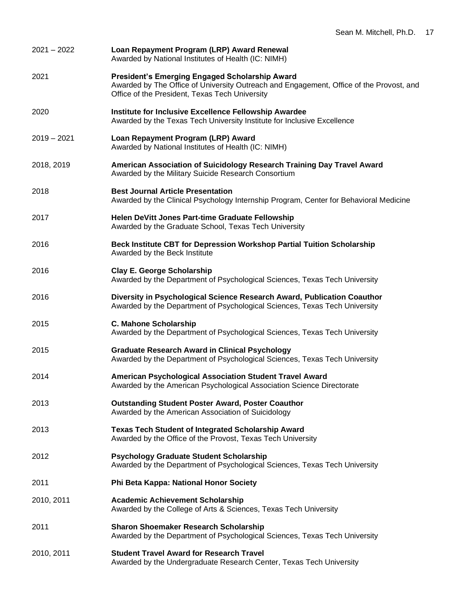| $2021 - 2022$ | Loan Repayment Program (LRP) Award Renewal<br>Awarded by National Institutes of Health (IC: NIMH)                                                                                           |
|---------------|---------------------------------------------------------------------------------------------------------------------------------------------------------------------------------------------|
| 2021          | President's Emerging Engaged Scholarship Award<br>Awarded by The Office of University Outreach and Engagement, Office of the Provost, and<br>Office of the President, Texas Tech University |
| 2020          | Institute for Inclusive Excellence Fellowship Awardee<br>Awarded by the Texas Tech University Institute for Inclusive Excellence                                                            |
| $2019 - 2021$ | Loan Repayment Program (LRP) Award<br>Awarded by National Institutes of Health (IC: NIMH)                                                                                                   |
| 2018, 2019    | American Association of Suicidology Research Training Day Travel Award<br>Awarded by the Military Suicide Research Consortium                                                               |
| 2018          | <b>Best Journal Article Presentation</b><br>Awarded by the Clinical Psychology Internship Program, Center for Behavioral Medicine                                                           |
| 2017          | Helen DeVitt Jones Part-time Graduate Fellowship<br>Awarded by the Graduate School, Texas Tech University                                                                                   |
| 2016          | Beck Institute CBT for Depression Workshop Partial Tuition Scholarship<br>Awarded by the Beck Institute                                                                                     |
| 2016          | <b>Clay E. George Scholarship</b><br>Awarded by the Department of Psychological Sciences, Texas Tech University                                                                             |
| 2016          | Diversity in Psychological Science Research Award, Publication Coauthor<br>Awarded by the Department of Psychological Sciences, Texas Tech University                                       |
| 2015          | C. Mahone Scholarship<br>Awarded by the Department of Psychological Sciences, Texas Tech University                                                                                         |
| 2015          | <b>Graduate Research Award in Clinical Psychology</b><br>Awarded by the Department of Psychological Sciences, Texas Tech University                                                         |
| 2014          | American Psychological Association Student Travel Award<br>Awarded by the American Psychological Association Science Directorate                                                            |
| 2013          | <b>Outstanding Student Poster Award, Poster Coauthor</b><br>Awarded by the American Association of Suicidology                                                                              |
| 2013          | <b>Texas Tech Student of Integrated Scholarship Award</b><br>Awarded by the Office of the Provost, Texas Tech University                                                                    |
| 2012          | <b>Psychology Graduate Student Scholarship</b><br>Awarded by the Department of Psychological Sciences, Texas Tech University                                                                |
| 2011          | Phi Beta Kappa: National Honor Society                                                                                                                                                      |
| 2010, 2011    | <b>Academic Achievement Scholarship</b><br>Awarded by the College of Arts & Sciences, Texas Tech University                                                                                 |
| 2011          | <b>Sharon Shoemaker Research Scholarship</b><br>Awarded by the Department of Psychological Sciences, Texas Tech University                                                                  |
| 2010, 2011    | <b>Student Travel Award for Research Travel</b><br>Awarded by the Undergraduate Research Center, Texas Tech University                                                                      |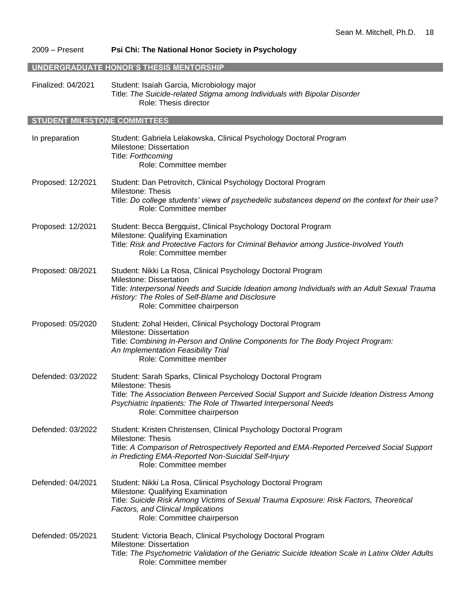## 2009 – Present **Psi Chi: The National Honor Society in Psychology**

#### **UNDERGRADUATE HONOR'S THESIS MENTORSHIP**

Finalized: 04/2021 Student: Isaiah Garcia, Microbiology major Title: *The Suicide-related Stigma among Individuals with Bipolar Disorder* Role: Thesis director

#### **STUDENT MILESTONE COMMITTEES**

| In preparation    | Student: Gabriela Lelakowska, Clinical Psychology Doctoral Program<br>Milestone: Dissertation<br>Title: Forthcoming<br>Role: Committee member                                                                                                                                      |
|-------------------|------------------------------------------------------------------------------------------------------------------------------------------------------------------------------------------------------------------------------------------------------------------------------------|
| Proposed: 12/2021 | Student: Dan Petrovitch, Clinical Psychology Doctoral Program<br>Milestone: Thesis<br>Title: Do college students' views of psychedelic substances depend on the context for their use?<br>Role: Committee member                                                                   |
| Proposed: 12/2021 | Student: Becca Bergquist, Clinical Psychology Doctoral Program<br>Milestone: Qualifying Examination<br>Title: Risk and Protective Factors for Criminal Behavior among Justice-Involved Youth<br>Role: Committee member                                                             |
| Proposed: 08/2021 | Student: Nikki La Rosa, Clinical Psychology Doctoral Program<br>Milestone: Dissertation<br>Title: Interpersonal Needs and Suicide Ideation among Individuals with an Adult Sexual Trauma<br>History: The Roles of Self-Blame and Disclosure<br>Role: Committee chairperson         |
| Proposed: 05/2020 | Student: Zohal Heideri, Clinical Psychology Doctoral Program<br>Milestone: Dissertation<br>Title: Combining In-Person and Online Components for The Body Project Program:<br>An Implementation Feasibility Trial<br>Role: Committee member                                         |
| Defended: 03/2022 | Student: Sarah Sparks, Clinical Psychology Doctoral Program<br>Milestone: Thesis<br>Title: The Association Between Perceived Social Support and Suicide Ideation Distress Among<br>Psychiatric Inpatients: The Role of Thwarted Interpersonal Needs<br>Role: Committee chairperson |
| Defended: 03/2022 | Student: Kristen Christensen, Clinical Psychology Doctoral Program<br>Milestone: Thesis<br>Title: A Comparison of Retrospectively Reported and EMA-Reported Perceived Social Support<br>in Predicting EMA-Reported Non-Suicidal Self-Injury<br>Role: Committee member              |
| Defended: 04/2021 | Student: Nikki La Rosa, Clinical Psychology Doctoral Program<br>Milestone: Qualifying Examination<br>Title: Suicide Risk Among Victims of Sexual Trauma Exposure: Risk Factors, Theoretical<br>Factors, and Clinical Implications<br>Role: Committee chairperson                   |
| Defended: 05/2021 | Student: Victoria Beach, Clinical Psychology Doctoral Program<br>Milestone: Dissertation<br>Title: The Psychometric Validation of the Geriatric Suicide Ideation Scale in Latinx Older Adults<br>Role: Committee member                                                            |